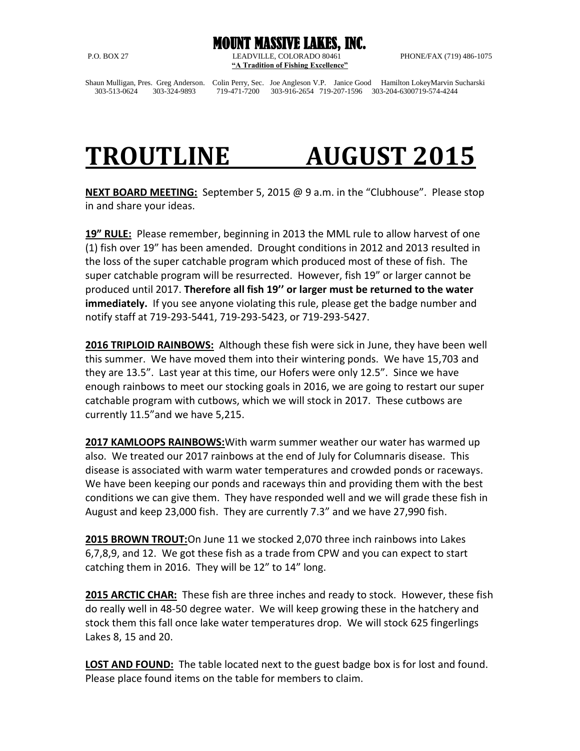MOUNT MASSIVE LAKES, INC. P.O. BOX 27 LEADVILLE, COLORADO 80461 PHONE/FAX (719) 486-1075 **"A Tradition of Fishing Excellence"**

Shaun Mulligan, Pres. Greg Anderson. Colin Perry, Sec. Joe Angleson V.P. Janice Good Hamilton LokeyMarvin Sucharski 303-513-0624 303-324-9893 719-471-7200 303-916-2654 719-207-1596 303-204-6300719-574-4244

## **TROUTLINE AUGUST 2015**

**NEXT BOARD MEETING:** September 5, 2015 @ 9 a.m. in the "Clubhouse". Please stop in and share your ideas.

**19" RULE:** Please remember, beginning in 2013 the MML rule to allow harvest of one (1) fish over 19" has been amended. Drought conditions in 2012 and 2013 resulted in the loss of the super catchable program which produced most of these of fish. The super catchable program will be resurrected. However, fish 19" or larger cannot be produced until 2017. **Therefore all fish 19'' or larger must be returned to the water immediately.** If you see anyone violating this rule, please get the badge number and notify staff at 719-293-5441, 719-293-5423, or 719-293-5427.

**2016 TRIPLOID RAINBOWS:** Although these fish were sick in June, they have been well this summer. We have moved them into their wintering ponds. We have 15,703 and they are 13.5". Last year at this time, our Hofers were only 12.5". Since we have enough rainbows to meet our stocking goals in 2016, we are going to restart our super catchable program with cutbows, which we will stock in 2017. These cutbows are currently 11.5"and we have 5,215.

**2017 KAMLOOPS RAINBOWS:**With warm summer weather our water has warmed up also. We treated our 2017 rainbows at the end of July for Columnaris disease. This disease is associated with warm water temperatures and crowded ponds or raceways. We have been keeping our ponds and raceways thin and providing them with the best conditions we can give them. They have responded well and we will grade these fish in August and keep 23,000 fish. They are currently 7.3" and we have 27,990 fish.

**2015 BROWN TROUT:**On June 11 we stocked 2,070 three inch rainbows into Lakes 6,7,8,9, and 12. We got these fish as a trade from CPW and you can expect to start catching them in 2016. They will be 12" to 14" long.

**2015 ARCTIC CHAR:** These fish are three inches and ready to stock. However, these fish do really well in 48-50 degree water. We will keep growing these in the hatchery and stock them this fall once lake water temperatures drop. We will stock 625 fingerlings Lakes 8, 15 and 20.

**LOST AND FOUND:** The table located next to the guest badge box is for lost and found. Please place found items on the table for members to claim.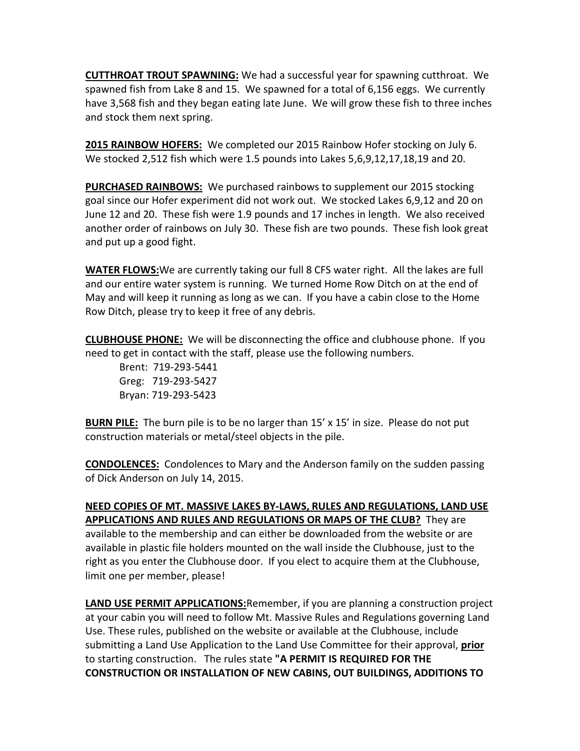**CUTTHROAT TROUT SPAWNING:** We had a successful year for spawning cutthroat. We spawned fish from Lake 8 and 15. We spawned for a total of 6,156 eggs. We currently have 3,568 fish and they began eating late June. We will grow these fish to three inches and stock them next spring.

**2015 RAINBOW HOFERS:** We completed our 2015 Rainbow Hofer stocking on July 6. We stocked 2,512 fish which were 1.5 pounds into Lakes 5,6,9,12,17,18,19 and 20.

**PURCHASED RAINBOWS:** We purchased rainbows to supplement our 2015 stocking goal since our Hofer experiment did not work out. We stocked Lakes 6,9,12 and 20 on June 12 and 20. These fish were 1.9 pounds and 17 inches in length. We also received another order of rainbows on July 30. These fish are two pounds. These fish look great and put up a good fight.

**WATER FLOWS:**We are currently taking our full 8 CFS water right. All the lakes are full and our entire water system is running. We turned Home Row Ditch on at the end of May and will keep it running as long as we can. If you have a cabin close to the Home Row Ditch, please try to keep it free of any debris.

**CLUBHOUSE PHONE:** We will be disconnecting the office and clubhouse phone. If you need to get in contact with the staff, please use the following numbers.

Brent: 719-293-5441 Greg: 719-293-5427 Bryan: 719-293-5423

**BURN PILE:** The burn pile is to be no larger than 15' x 15' in size. Please do not put construction materials or metal/steel objects in the pile.

**CONDOLENCES:** Condolences to Mary and the Anderson family on the sudden passing of Dick Anderson on July 14, 2015.

**NEED COPIES OF MT. MASSIVE LAKES BY-LAWS, RULES AND REGULATIONS, LAND USE APPLICATIONS AND RULES AND REGULATIONS OR MAPS OF THE CLUB?** They are available to the membership and can either be downloaded from the website or are available in plastic file holders mounted on the wall inside the Clubhouse, just to the right as you enter the Clubhouse door. If you elect to acquire them at the Clubhouse, limit one per member, please!

**LAND USE PERMIT APPLICATIONS:**Remember, if you are planning a construction project at your cabin you will need to follow Mt. Massive Rules and Regulations governing Land Use. These rules, published on the website or available at the Clubhouse, include submitting a Land Use Application to the Land Use Committee for their approval, **prior** to starting construction. The rules state **"A PERMIT IS REQUIRED FOR THE CONSTRUCTION OR INSTALLATION OF NEW CABINS, OUT BUILDINGS, ADDITIONS TO**